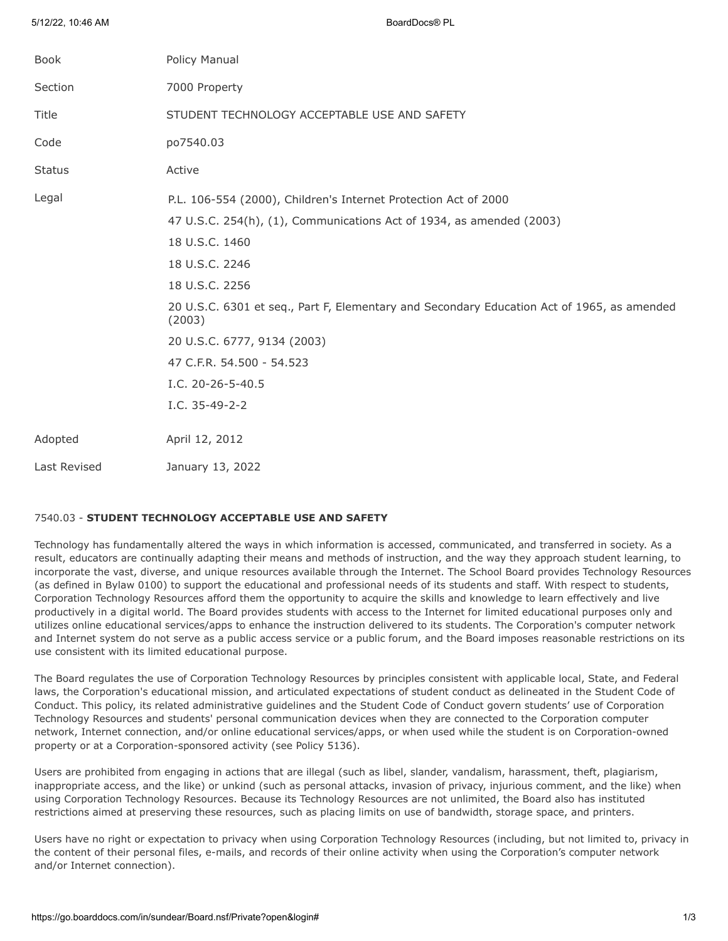| <b>Book</b>   | Policy Manual                                                                                        |
|---------------|------------------------------------------------------------------------------------------------------|
| Section       | 7000 Property                                                                                        |
| <b>Title</b>  | STUDENT TECHNOLOGY ACCEPTABLE USE AND SAFETY                                                         |
| Code          | po7540.03                                                                                            |
| <b>Status</b> | Active                                                                                               |
| Legal         | P.L. 106-554 (2000), Children's Internet Protection Act of 2000                                      |
|               | 47 U.S.C. 254(h), (1), Communications Act of 1934, as amended (2003)                                 |
|               | 18 U.S.C. 1460                                                                                       |
|               | 18 U.S.C. 2246                                                                                       |
|               | 18 U.S.C. 2256                                                                                       |
|               | 20 U.S.C. 6301 et seq., Part F, Elementary and Secondary Education Act of 1965, as amended<br>(2003) |
|               | 20 U.S.C. 6777, 9134 (2003)                                                                          |
|               | 47 C.F.R. 54.500 - 54.523                                                                            |
|               | I.C. 20-26-5-40.5                                                                                    |
|               | I.C. 35-49-2-2                                                                                       |
| Adopted       | April 12, 2012                                                                                       |
| Last Revised  | January 13, 2022                                                                                     |

# 7540.03 - **STUDENT TECHNOLOGY ACCEPTABLE USE AND SAFETY**

5/12/22, 10:46 AM BoardDocs® PL

Technology has fundamentally altered the ways in which information is accessed, communicated, and transferred in society. As a result, educators are continually adapting their means and methods of instruction, and the way they approach student learning, to incorporate the vast, diverse, and unique resources available through the Internet. The School Board provides Technology Resources (as defined in Bylaw 0100) to support the educational and professional needs of its students and staff. With respect to students, Corporation Technology Resources afford them the opportunity to acquire the skills and knowledge to learn effectively and live productively in a digital world. The Board provides students with access to the Internet for limited educational purposes only and utilizes online educational services/apps to enhance the instruction delivered to its students. The Corporation's computer network and Internet system do not serve as a public access service or a public forum, and the Board imposes reasonable restrictions on its use consistent with its limited educational purpose.

The Board regulates the use of Corporation Technology Resources by principles consistent with applicable local, State, and Federal laws, the Corporation's educational mission, and articulated expectations of student conduct as delineated in the Student Code of Conduct. This policy, its related administrative guidelines and the Student Code of Conduct govern students' use of Corporation Technology Resources and students' personal communication devices when they are connected to the Corporation computer network, Internet connection, and/or online educational services/apps, or when used while the student is on Corporation-owned property or at a Corporation-sponsored activity (see Policy 5136).

Users are prohibited from engaging in actions that are illegal (such as libel, slander, vandalism, harassment, theft, plagiarism, inappropriate access, and the like) or unkind (such as personal attacks, invasion of privacy, injurious comment, and the like) when using Corporation Technology Resources. Because its Technology Resources are not unlimited, the Board also has instituted restrictions aimed at preserving these resources, such as placing limits on use of bandwidth, storage space, and printers.

Users have no right or expectation to privacy when using Corporation Technology Resources (including, but not limited to, privacy in the content of their personal files, e-mails, and records of their online activity when using the Corporation's computer network and/or Internet connection).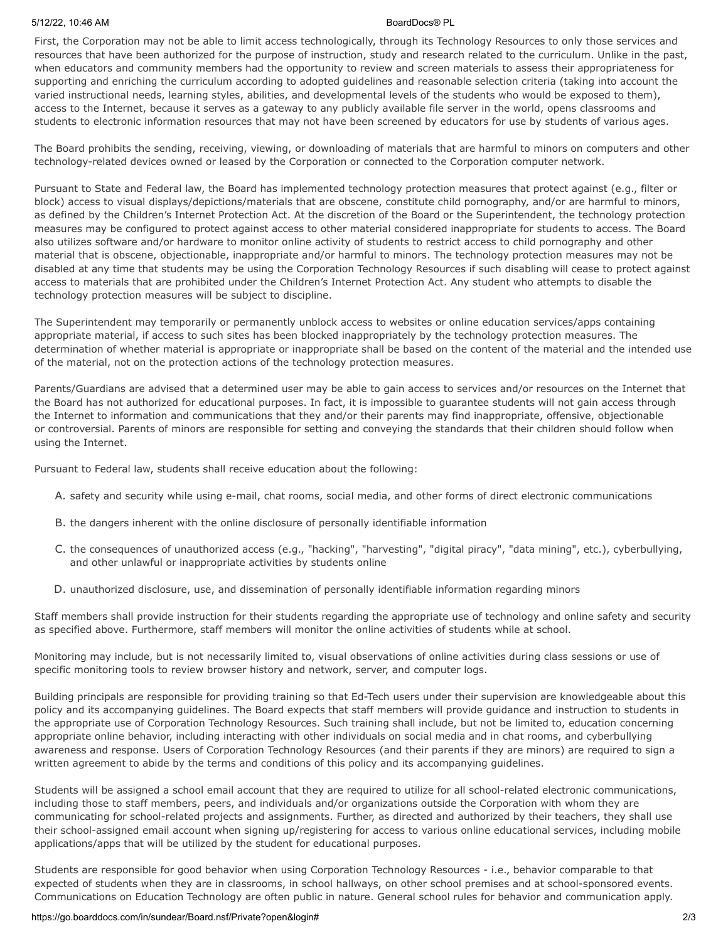### 5/12/22, 10:46 AM BoardDocs® PL

First, the Corporation may not be able to limit access technologically, through its Technology Resources to only those services and resources that have been authorized for the purpose of instruction, study and research related to the curriculum. Unlike in the past, when educators and community members had the opportunity to review and screen materials to assess their appropriateness for supporting and enriching the curriculum according to adopted guidelines and reasonable selection criteria (taking into account the varied instructional needs, learning styles, abilities, and developmental levels of the students who would be exposed to them), access to the Internet, because it serves as a gateway to any publicly available file server in the world, opens classrooms and students to electronic information resources that may not have been screened by educators for use by students of various ages.

The Board prohibits the sending, receiving, viewing, or downloading of materials that are harmful to minors on computers and other technology-related devices owned or leased by the Corporation or connected to the Corporation computer network.

Pursuant to State and Federal law, the Board has implemented technology protection measures that protect against (e.g., filter or block) access to visual displays/depictions/materials that are obscene, constitute child pornography, and/or are harmful to minors, as defined by the Children's Internet Protection Act. At the discretion of the Board or the Superintendent, the technology protection measures may be configured to protect against access to other material considered inappropriate for students to access. The Board also utilizes software and/or hardware to monitor online activity of students to restrict access to child pornography and other material that is obscene, objectionable, inappropriate and/or harmful to minors. The technology protection measures may not be disabled at any time that students may be using the Corporation Technology Resources if such disabling will cease to protect against access to materials that are prohibited under the Children's Internet Protection Act. Any student who attempts to disable the technology protection measures will be subject to discipline.

The Superintendent may temporarily or permanently unblock access to websites or online education services/apps containing appropriate material, if access to such sites has been blocked inappropriately by the technology protection measures. The determination of whether material is appropriate or inappropriate shall be based on the content of the material and the intended use of the material, not on the protection actions of the technology protection measures.

Parents/Guardians are advised that a determined user may be able to gain access to services and/or resources on the Internet that the Board has not authorized for educational purposes. In fact, it is impossible to guarantee students will not gain access through the Internet to information and communications that they and/or their parents may find inappropriate, offensive, objectionable or controversial. Parents of minors are responsible for setting and conveying the standards that their children should follow when using the Internet.

Pursuant to Federal law, students shall receive education about the following:

- A. safety and security while using e-mail, chat rooms, social media, and other forms of direct electronic communications
- B. the dangers inherent with the online disclosure of personally identifiable information
- C. the consequences of unauthorized access (e.g., "hacking", "harvesting", "digital piracy", "data mining", etc.), cyberbullying, and other unlawful or inappropriate activities by students online
- D. unauthorized disclosure, use, and dissemination of personally identifiable information regarding minors

Staff members shall provide instruction for their students regarding the appropriate use of technology and online safety and security as specified above. Furthermore, staff members will monitor the online activities of students while at school.

Monitoring may include, but is not necessarily limited to, visual observations of online activities during class sessions or use of specific monitoring tools to review browser history and network, server, and computer logs.

Building principals are responsible for providing training so that Ed-Tech users under their supervision are knowledgeable about this policy and its accompanying guidelines. The Board expects that staff members will provide guidance and instruction to students in the appropriate use of Corporation Technology Resources. Such training shall include, but not be limited to, education concerning appropriate online behavior, including interacting with other individuals on social media and in chat rooms, and cyberbullying awareness and response. Users of Corporation Technology Resources (and their parents if they are minors) are required to sign a written agreement to abide by the terms and conditions of this policy and its accompanying guidelines.

Students will be assigned a school email account that they are required to utilize for all school-related electronic communications, including those to staff members, peers, and individuals and/or organizations outside the Corporation with whom they are communicating for school-related projects and assignments. Further, as directed and authorized by their teachers, they shall use their school-assigned email account when signing up/registering for access to various online educational services, including mobile applications/apps that will be utilized by the student for educational purposes.

Students are responsible for good behavior when using Corporation Technology Resources - i.e., behavior comparable to that expected of students when they are in classrooms, in school hallways, on other school premises and at school-sponsored events. Communications on Education Technology are often public in nature. General school rules for behavior and communication apply.